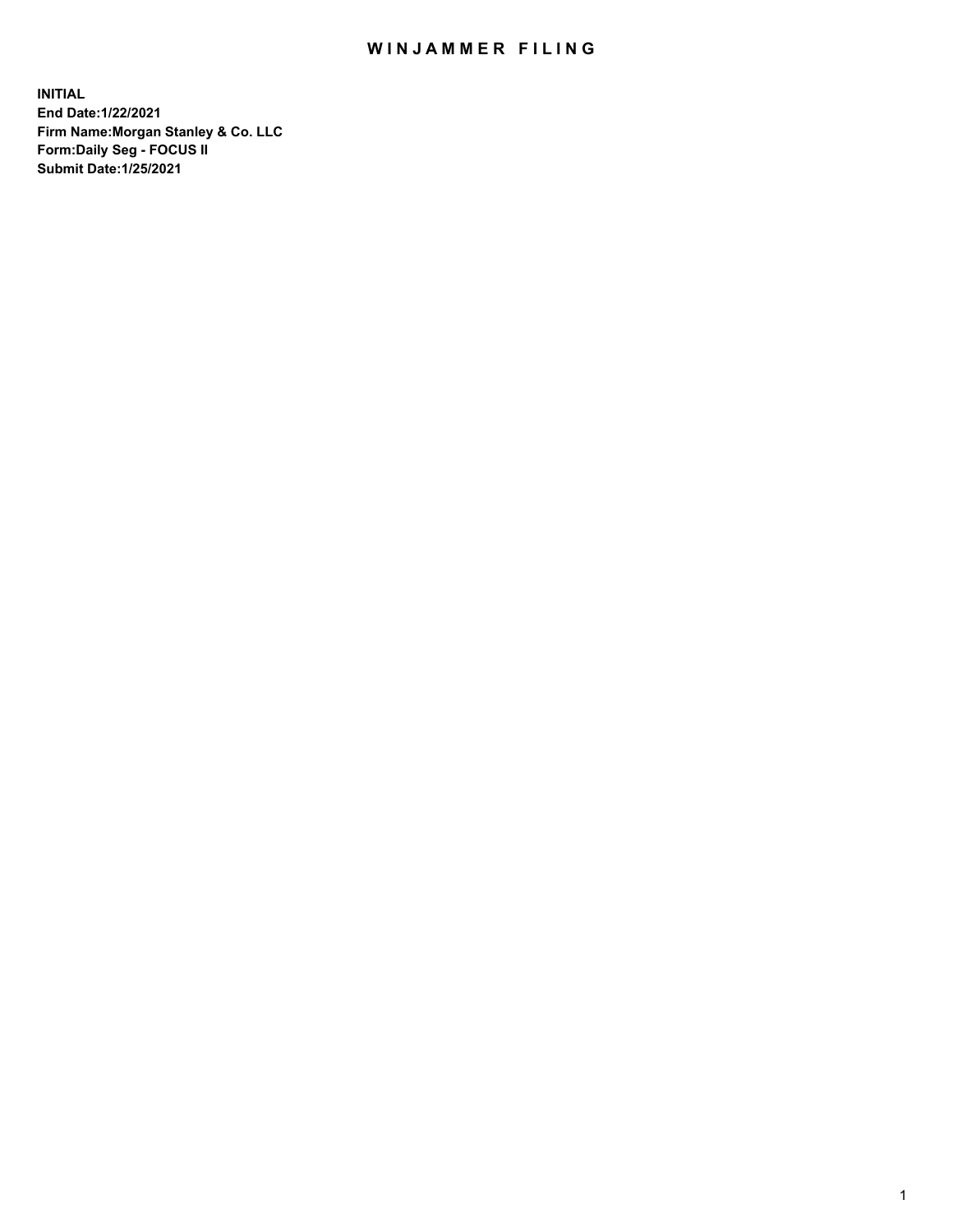## WIN JAMMER FILING

**INITIAL End Date:1/22/2021 Firm Name:Morgan Stanley & Co. LLC Form:Daily Seg - FOCUS II Submit Date:1/25/2021**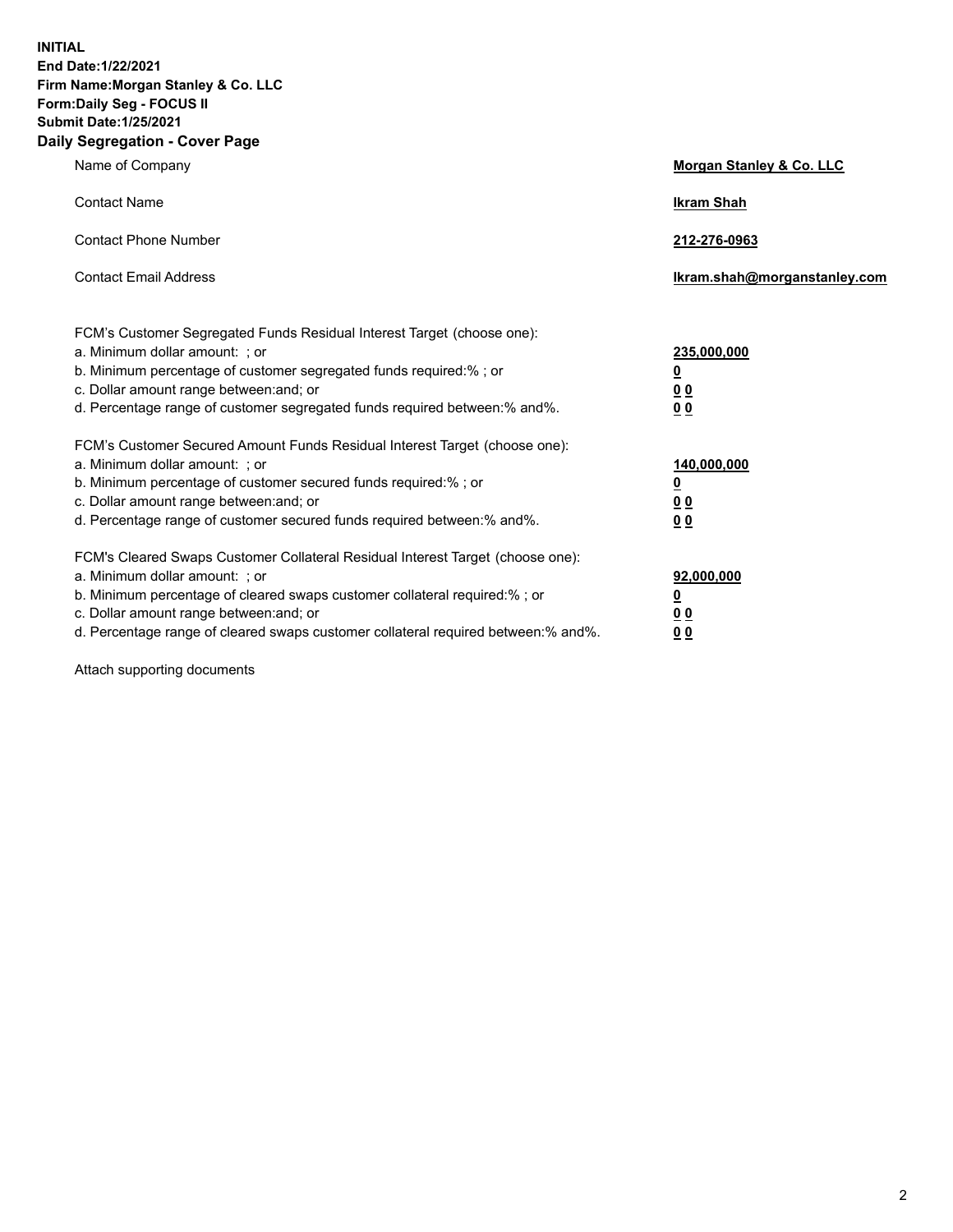**INITIAL End Date:1/22/2021 Firm Name:Morgan Stanley & Co. LLC Form:Daily Seg - FOCUS II Submit Date:1/25/2021 Daily Segregation - Cover Page**

| Name of Company                                                                                                                                                                                                                                                                                                                | Morgan Stanley & Co. LLC                                    |
|--------------------------------------------------------------------------------------------------------------------------------------------------------------------------------------------------------------------------------------------------------------------------------------------------------------------------------|-------------------------------------------------------------|
| <b>Contact Name</b>                                                                                                                                                                                                                                                                                                            | <b>Ikram Shah</b>                                           |
| <b>Contact Phone Number</b>                                                                                                                                                                                                                                                                                                    | 212-276-0963                                                |
| <b>Contact Email Address</b>                                                                                                                                                                                                                                                                                                   | lkram.shah@morganstanley.com                                |
| FCM's Customer Segregated Funds Residual Interest Target (choose one):<br>a. Minimum dollar amount: ; or<br>b. Minimum percentage of customer segregated funds required:% ; or<br>c. Dollar amount range between: and; or<br>d. Percentage range of customer segregated funds required between:% and%.                         | 235,000,000<br><u>0</u><br><u>00</u><br>00                  |
| FCM's Customer Secured Amount Funds Residual Interest Target (choose one):<br>a. Minimum dollar amount: ; or<br>b. Minimum percentage of customer secured funds required:%; or<br>c. Dollar amount range between: and; or<br>d. Percentage range of customer secured funds required between: % and %.                          | 140,000,000<br><u>0</u><br>0 <sub>0</sub><br>0 <sub>0</sub> |
| FCM's Cleared Swaps Customer Collateral Residual Interest Target (choose one):<br>a. Minimum dollar amount: ; or<br>b. Minimum percentage of cleared swaps customer collateral required:% ; or<br>c. Dollar amount range between: and; or<br>d. Percentage range of cleared swaps customer collateral required between:% and%. | 92,000,000<br><u>0</u><br><u>00</u><br>00                   |

Attach supporting documents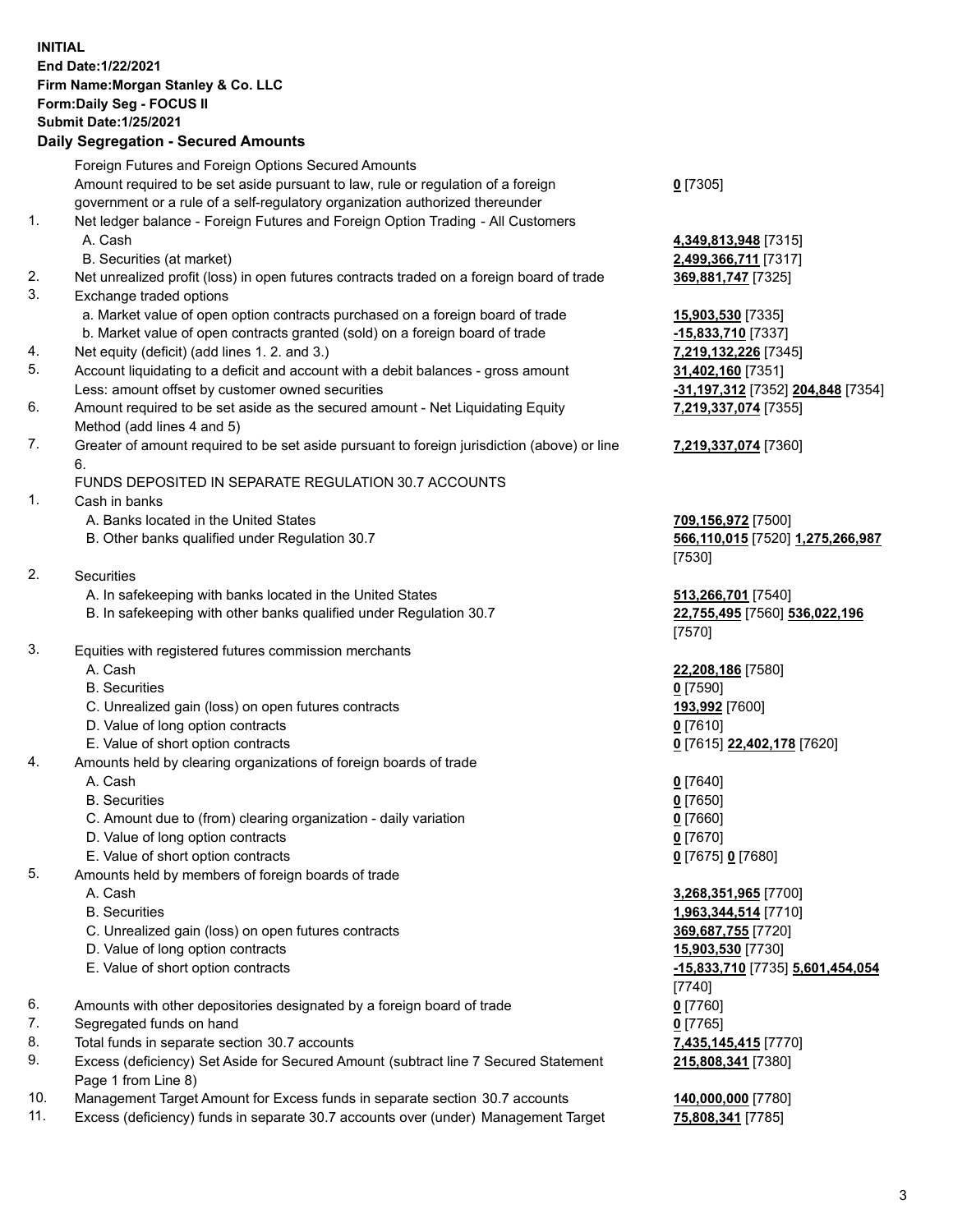## **INITIAL End Date:1/22/2021 Firm Name:Morgan Stanley & Co. LLC Form:Daily Seg - FOCUS II Submit Date:1/25/2021**

## **Daily Segregation - Secured Amounts**

Foreign Futures and Foreign Options Secured Amounts Amount required to be set aside pursuant to law, rule or regulation of a foreign government or a rule of a self-regulatory organization authorized thereunder 1. Net ledger balance - Foreign Futures and Foreign Option Trading - All Customers A. Cash **4,349,813,948** [7315] B. Securities (at market) **2,499,366,711** [7317] 2. Net unrealized profit (loss) in open futures contracts traded on a foreign board of trade **369,881,747** [7325] 3. Exchange traded options a. Market value of open option contracts purchased on a foreign board of trade **15,903,530** [7335] b. Market value of open contracts granted (sold) on a foreign board of trade **-15,833,710** [7337] 4. Net equity (deficit) (add lines 1. 2. and 3.) **7,219,132,226** [7345] 5. Account liquidating to a deficit and account with a debit balances - gross amount **31,402,160** [7351] Less: amount offset by customer owned securities **-31,197,312** [7352] **204,848** [7354] 6. Amount required to be set aside as the secured amount - Net Liquidating Equity Method (add lines 4 and 5) 7. Greater of amount required to be set aside pursuant to foreign jurisdiction (above) or line 6. FUNDS DEPOSITED IN SEPARATE REGULATION 30.7 ACCOUNTS 1. Cash in banks A. Banks located in the United States **709,156,972** [7500] B. Other banks qualified under Regulation 30.7 **566,110,015** [7520] **1,275,266,987** 2. Securities A. In safekeeping with banks located in the United States **513,266,701** [7540] B. In safekeeping with other banks qualified under Regulation 30.7 **22,755,495** [7560] **536,022,196** 3. Equities with registered futures commission merchants A. Cash **22,208,186** [7580] B. Securities **0** [7590] C. Unrealized gain (loss) on open futures contracts **193,992** [7600] D. Value of long option contracts **0** [7610] E. Value of short option contracts **0** [7615] **22,402,178** [7620] 4. Amounts held by clearing organizations of foreign boards of trade A. Cash **0** [7640] B. Securities **0** [7650] C. Amount due to (from) clearing organization - daily variation **0** [7660] D. Value of long option contracts **0** [7670] E. Value of short option contracts **0** [7675] **0** [7680] 5. Amounts held by members of foreign boards of trade A. Cash **3,268,351,965** [7700] B. Securities **1,963,344,514** [7710] C. Unrealized gain (loss) on open futures contracts **369,687,755** [7720] D. Value of long option contracts **15,903,530** [7730] E. Value of short option contracts **-15,833,710** [7735] **5,601,454,054** 6. Amounts with other depositories designated by a foreign board of trade **0** [7760] 7. Segregated funds on hand **0** [7765] 8. Total funds in separate section 30.7 accounts **7,435,145,415** [7770]

- 
- 9. Excess (deficiency) Set Aside for Secured Amount (subtract line 7 Secured Statement Page 1 from Line 8)
- 10. Management Target Amount for Excess funds in separate section 30.7 accounts **140,000,000** [7780]
- 11. Excess (deficiency) funds in separate 30.7 accounts over (under) Management Target **75,808,341** [7785]

**0** [7305]

**7,219,337,074** [7355]

## **7,219,337,074** [7360]

[7530]

[7570]

[7740] **215,808,341** [7380]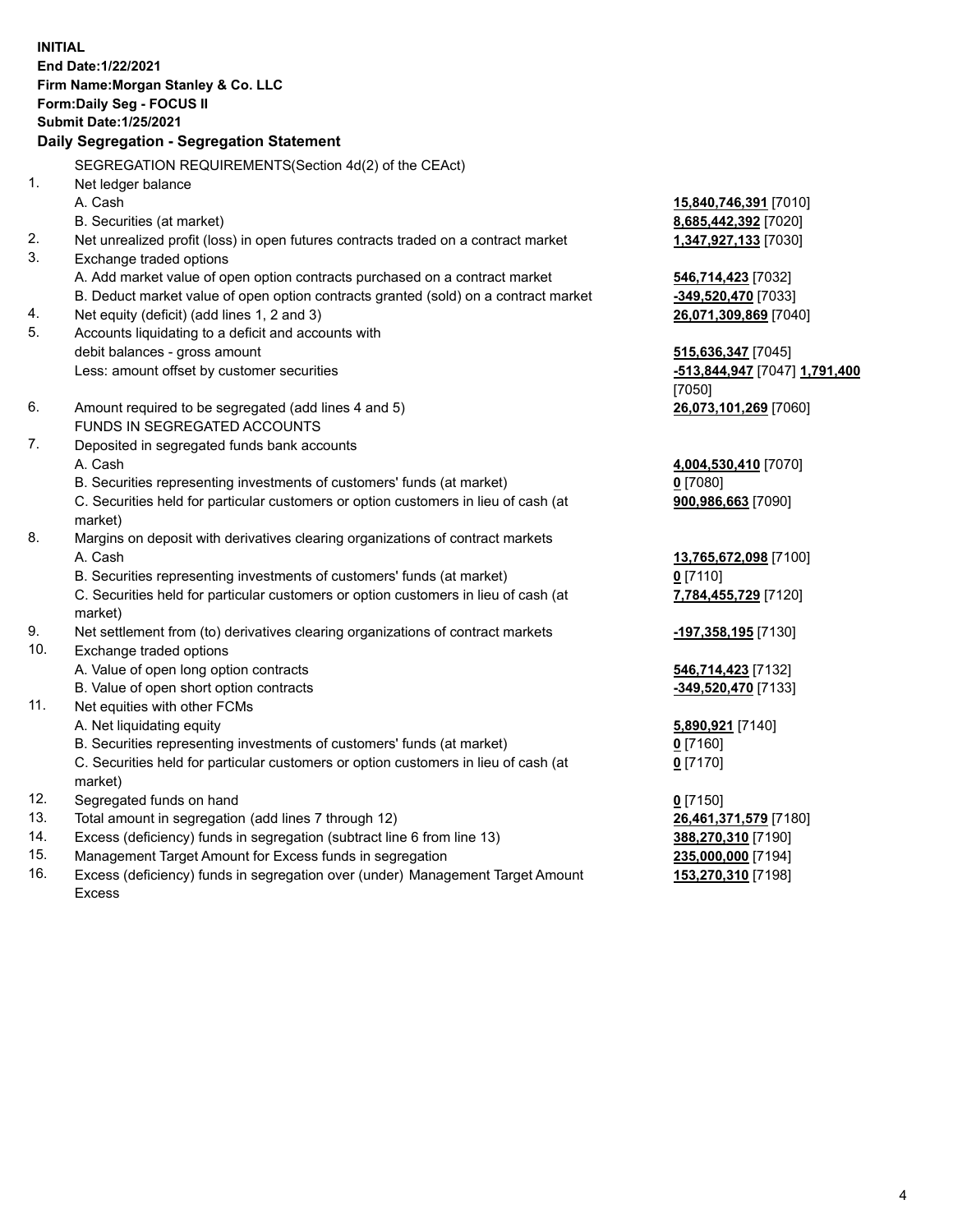**INITIAL End Date:1/22/2021 Firm Name:Morgan Stanley & Co. LLC Form:Daily Seg - FOCUS II Submit Date:1/25/2021 Daily Segregation - Segregation Statement** SEGREGATION REQUIREMENTS(Section 4d(2) of the CEAct) 1. Net ledger balance A. Cash **15,840,746,391** [7010] B. Securities (at market) **8,685,442,392** [7020] 2. Net unrealized profit (loss) in open futures contracts traded on a contract market **1,347,927,133** [7030] 3. Exchange traded options A. Add market value of open option contracts purchased on a contract market **546,714,423** [7032] B. Deduct market value of open option contracts granted (sold) on a contract market **-349,520,470** [7033] 4. Net equity (deficit) (add lines 1, 2 and 3) **26,071,309,869** [7040] 5. Accounts liquidating to a deficit and accounts with debit balances - gross amount **515,636,347** [7045] Less: amount offset by customer securities **-513,844,947** [7047] **1,791,400** [7050] 6. Amount required to be segregated (add lines 4 and 5) **26,073,101,269** [7060] FUNDS IN SEGREGATED ACCOUNTS 7. Deposited in segregated funds bank accounts A. Cash **4,004,530,410** [7070] B. Securities representing investments of customers' funds (at market) **0** [7080] C. Securities held for particular customers or option customers in lieu of cash (at market) **900,986,663** [7090] 8. Margins on deposit with derivatives clearing organizations of contract markets A. Cash **13,765,672,098** [7100] B. Securities representing investments of customers' funds (at market) **0** [7110] C. Securities held for particular customers or option customers in lieu of cash (at market) **7,784,455,729** [7120] 9. Net settlement from (to) derivatives clearing organizations of contract markets **-197,358,195** [7130] 10. Exchange traded options A. Value of open long option contracts **546,714,423** [7132] B. Value of open short option contracts **-349,520,470** [7133] 11. Net equities with other FCMs A. Net liquidating equity **5,890,921** [7140] B. Securities representing investments of customers' funds (at market) **0** [7160] C. Securities held for particular customers or option customers in lieu of cash (at market) **0** [7170] 12. Segregated funds on hand **0** [7150] 13. Total amount in segregation (add lines 7 through 12) **26,461,371,579** [7180] 14. Excess (deficiency) funds in segregation (subtract line 6 from line 13) **388,270,310** [7190]

- 15. Management Target Amount for Excess funds in segregation **235,000,000** [7194]
- 16. Excess (deficiency) funds in segregation over (under) Management Target Amount Excess

**153,270,310** [7198]